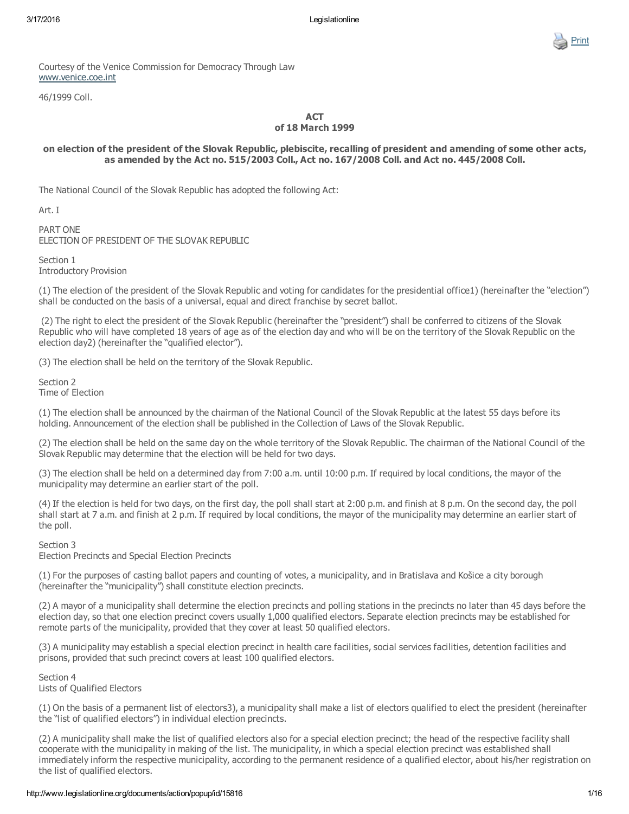

Courtesy of the Venice Commission for Democracy Through Law [www.venice.coe.int](http://www.venice.coe.int/)

46/1999 Coll.

## **ACT** of 18 March 1999

# on election of the president of the Slovak Republic, plebiscite, recalling of president and amending of some other acts, as amended by the Act no. 515/2003 Coll., Act no. 167/2008 Coll. and Act no. 445/2008 Coll.

The National Council of the Slovak Republic has adopted the following Act:

Art. I

PART ONE ELECTION OF PRESIDENT OF THE SLOVAK REPUBLIC

Section 1 Introductory Provision

(1) The election of the president of the Slovak Republic and voting for candidates for the presidential office1) (hereinafter the "election") shall be conducted on the basis of a universal, equal and direct franchise by secret ballot.

(2) The right to elect the president of the Slovak Republic (hereinafter the "president") shall be conferred to citizens of the Slovak Republic who will have completed 18 years of age as of the election day and who will be on the territory of the Slovak Republic on the election day2) (hereinafter the "qualified elector").

(3) The election shall be held on the territory of the Slovak Republic.

Section 2 Time of Election

(1) The election shall be announced by the chairman of the National Council of the Slovak Republic at the latest 55 days before its holding. Announcement of the election shall be published in the Collection of Laws of the Slovak Republic.

(2) The election shall be held on the same day on the whole territory of the Slovak Republic. The chairman of the National Council of the Slovak Republic may determine that the election will be held for two days.

(3) The election shall be held on a determined day from 7:00 a.m. until 10:00 p.m. If required by local conditions, the mayor of the municipality may determine an earlier start of the poll.

(4) If the election is held for two days, on the first day, the poll shall start at 2:00 p.m. and finish at 8 p.m. On the second day, the poll shall start at 7 a.m. and finish at 2 p.m. If required by local conditions, the mayor of the municipality may determine an earlier start of the poll.

Section 3

Election Precincts and Special Election Precincts

(1) For the purposes of casting ballot papers and counting of votes, a municipality, and in Bratislava and Košice a city borough (hereinafter the "municipality") shall constitute election precincts.

(2) A mayor of a municipality shall determine the election precincts and polling stations in the precincts no later than 45 days before the election day, so that one election precinct covers usually 1,000 qualified electors. Separate election precincts may be established for remote parts of the municipality, provided that they cover at least 50 qualified electors.

(3) A municipality may establish a special election precinct in health care facilities, social services facilities, detention facilities and prisons, provided that such precinct covers at least 100 qualified electors.

Section 4 Lists of Qualified Electors

(1) On the basis of a permanent list of electors3), a municipality shall make a list of electors qualified to elect the president (hereinafter the "list of qualified electors") in individual election precincts.

(2) A municipality shall make the list of qualified electors also for a special election precinct; the head of the respective facility shall cooperate with the municipality in making of the list. The municipality, in which a special election precinct was established shall immediately inform the respective municipality, according to the permanent residence of a qualified elector, about his/her registration on the list of qualified electors.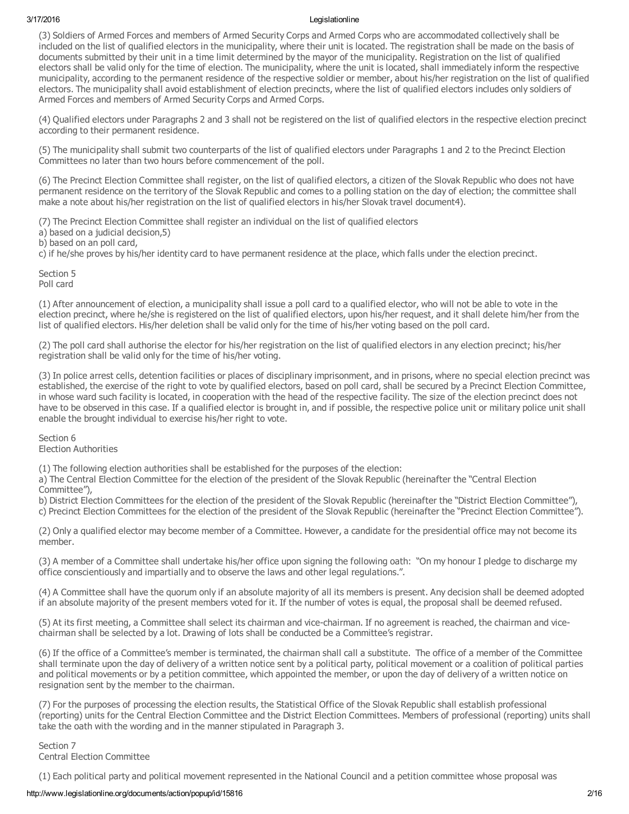(3) Soldiers of Armed Forces and members of Armed Security Corps and Armed Corps who are accommodated collectively shall be included on the list of qualified electors in the municipality, where their unit is located. The registration shall be made on the basis of documents submitted by their unit in a time limit determined by the mayor of the municipality. Registration on the list of qualified electors shall be valid only for the time of election. The municipality, where the unit is located, shall immediately inform the respective municipality, according to the permanent residence of the respective soldier or member, about his/her registration on the list of qualified electors. The municipality shall avoid establishment of election precincts, where the list of qualified electors includes only soldiers of Armed Forces and members of Armed Security Corps and Armed Corps.

(4) Qualified electors under Paragraphs 2 and 3 shall not be registered on the list of qualified electors in the respective election precinct according to their permanent residence.

(5) The municipality shall submit two counterparts of the list of qualified electors under Paragraphs 1 and 2 to the Precinct Election Committees no later than two hours before commencement of the poll.

(6) The Precinct Election Committee shall register, on the list of qualified electors, a citizen of the Slovak Republic who does not have permanent residence on the territory of the Slovak Republic and comes to a polling station on the day of election; the committee shall make a note about his/her registration on the list of qualified electors in his/her Slovak travel document4).

(7) The Precinct Election Committee shall register an individual on the list of qualified electors

a) based on a judicial decision,5)

b) based on an poll card,

c) if he/she proves by his/her identity card to have permanent residence at the place, which falls under the election precinct.

Section 5 Poll card

(1) After announcement of election, a municipality shall issue a poll card to a qualified elector, who will not be able to vote in the election precinct, where he/she is registered on the list of qualified electors, upon his/her request, and it shall delete him/her from the list of qualified electors. His/her deletion shall be valid only for the time of his/her voting based on the poll card.

(2) The poll card shall authorise the elector for his/her registration on the list of qualified electors in any election precinct; his/her registration shall be valid only for the time of his/her voting.

(3) In police arrest cells, detention facilities or places of disciplinary imprisonment, and in prisons, where no special election precinct was established, the exercise of the right to vote by qualified electors, based on poll card, shall be secured by a Precinct Election Committee, in whose ward such facility is located, in cooperation with the head of the respective facility. The size of the election precinct does not have to be observed in this case. If a qualified elector is brought in, and if possible, the respective police unit or military police unit shall enable the brought individual to exercise his/her right to vote.

Section 6 Election Authorities

(1) The following election authorities shall be established for the purposes of the election:

a) The Central Election Committee for the election of the president of the Slovak Republic (hereinafter the "Central Election Committee"),

b) District Election Committees for the election of the president of the Slovak Republic (hereinafter the "District Election Committee"), c) Precinct Election Committees for the election of the president of the Slovak Republic (hereinafter the "Precinct Election Committee").

(2) Only a qualified elector may become member of a Committee. However, a candidate for the presidential office may not become its member.

(3) A member of a Committee shall undertake his/her office upon signing the following oath: "On my honour I pledge to discharge my office conscientiously and impartially and to observe the laws and other legal regulations.".

(4) A Committee shall have the quorum only if an absolute majority of all its members is present. Any decision shall be deemed adopted if an absolute majority of the present members voted for it. If the number of votes is equal, the proposal shall be deemed refused.

(5) At its first meeting, a Committee shall select its chairman and vice-chairman. If no agreement is reached, the chairman and vicechairman shall be selected by a lot. Drawing of lots shall be conducted be a Committee's registrar.

(6) If the office of a Committee's member is terminated, the chairman shall call a substitute. The office of a member of the Committee shall terminate upon the day of delivery of a written notice sent by a political party, political movement or a coalition of political parties and political movements or by a petition committee, which appointed the member, or upon the day of delivery of a written notice on resignation sent by the member to the chairman.

(7) For the purposes of processing the election results, the Statistical Office of the Slovak Republic shall establish professional (reporting) units for the Central Election Committee and the District Election Committees. Members of professional (reporting) units shall take the oath with the wording and in the manner stipulated in Paragraph 3.

Section 7 Central Election Committee

(1) Each political party and political movement represented in the National Council and a petition committee whose proposal was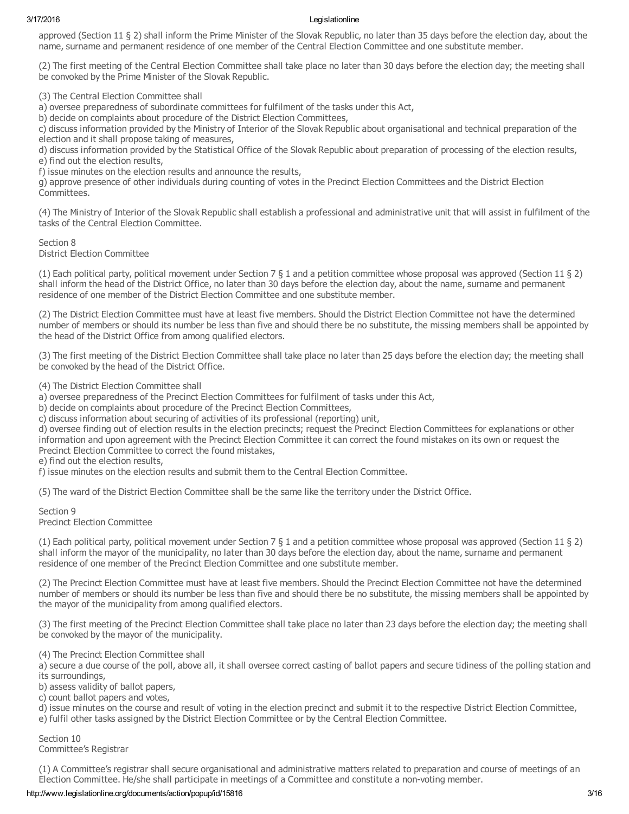approved (Section 11 § 2) shall inform the Prime Minister of the Slovak Republic, no later than 35 days before the election day, about the name, surname and permanent residence of one member of the Central Election Committee and one substitute member.

(2) The first meeting of the Central Election Committee shall take place no later than 30 days before the election day; the meeting shall be convoked by the Prime Minister of the Slovak Republic.

(3) The Central Election Committee shall

a) oversee preparedness of subordinate committees for fulfilment of the tasks under this Act,

b) decide on complaints about procedure of the District Election Committees,

c) discuss information provided by the Ministry of Interior of the Slovak Republic about organisational and technical preparation of the election and it shall propose taking of measures,

d) discuss information provided by the Statistical Office of the Slovak Republic about preparation of processing of the election results, e) find out the election results,

f) issue minutes on the election results and announce the results,

g) approve presence of other individuals during counting of votes in the Precinct Election Committees and the District Election Committees.

(4) The Ministry of Interior of the Slovak Republic shall establish a professional and administrative unit that will assist in fulfilment of the tasks of the Central Election Committee.

Section 8 District Election Committee

(1) Each political party, political movement under Section 7 § 1 and a petition committee whose proposal was approved (Section 11 § 2) shall inform the head of the District Office, no later than 30 days before the election day, about the name, surname and permanent residence of one member of the District Election Committee and one substitute member.

(2) The District Election Committee must have at least five members. Should the District Election Committee not have the determined number of members or should its number be less than five and should there be no substitute, the missing members shall be appointed by the head of the District Office from among qualified electors.

(3) The first meeting of the District Election Committee shall take place no later than 25 days before the election day; the meeting shall be convoked by the head of the District Office.

(4) The District Election Committee shall

a) oversee preparedness of the Precinct Election Committees for fulfilment of tasks under this Act,

b) decide on complaints about procedure of the Precinct Election Committees,

c) discuss information about securing of activities of its professional (reporting) unit,

d) oversee finding out of election results in the election precincts; request the Precinct Election Committees for explanations or other information and upon agreement with the Precinct Election Committee it can correct the found mistakes on its own or request the Precinct Election Committee to correct the found mistakes,

e) find out the election results,

f) issue minutes on the election results and submit them to the Central Election Committee.

(5) The ward of the District Election Committee shall be the same like the territory under the District Office.

Section 9 Precinct Election Committee

(1) Each political party, political movement under Section 7 § 1 and a petition committee whose proposal was approved (Section 11 § 2) shall inform the mayor of the municipality, no later than 30 days before the election day, about the name, surname and permanent residence of one member of the Precinct Election Committee and one substitute member.

(2) The Precinct Election Committee must have at least five members. Should the Precinct Election Committee not have the determined number of members or should its number be less than five and should there be no substitute, the missing members shall be appointed by the mayor of the municipality from among qualified electors.

(3) The first meeting of the Precinct Election Committee shall take place no later than 23 days before the election day; the meeting shall be convoked by the mayor of the municipality.

(4) The Precinct Election Committee shall

a) secure a due course of the poll, above all, it shall oversee correct casting of ballot papers and secure tidiness of the polling station and its surroundings,

b) assess validity of ballot papers,

c) count ballot papers and votes,

d) issue minutes on the course and result of voting in the election precinct and submit it to the respective District Election Committee, e) fulfil other tasks assigned by the District Election Committee or by the Central Election Committee.

Section 10 Committee's Registrar

(1) A Committee's registrar shall secure organisational and administrative matters related to preparation and course of meetings of an Election Committee. He/she shall participate in meetings of a Committee and constitute a nonvoting member.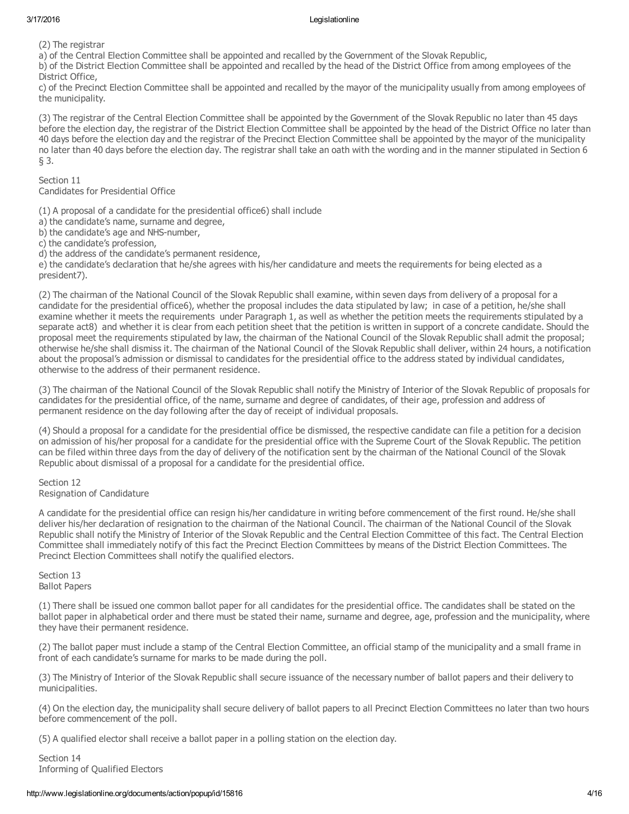(2) The registrar

a) of the Central Election Committee shall be appointed and recalled by the Government of the Slovak Republic,

b) of the District Election Committee shall be appointed and recalled by the head of the District Office from among employees of the District Office,

c) of the Precinct Election Committee shall be appointed and recalled by the mayor of the municipality usually from among employees of the municipality.

(3) The registrar of the Central Election Committee shall be appointed by the Government of the Slovak Republic no later than 45 days before the election day, the registrar of the District Election Committee shall be appointed by the head of the District Office no later than 40 days before the election day and the registrar of the Precinct Election Committee shall be appointed by the mayor of the municipality no later than 40 days before the election day. The registrar shall take an oath with the wording and in the manner stipulated in Section 6 § 3.

Section 11 Candidates for Presidential Office

(1) A proposal of a candidate for the presidential office6) shall include

a) the candidate's name, surname and degree,

b) the candidate's age and NHS-number,

c) the candidate's profession,

d) the address of the candidate's permanent residence,

e) the candidate's declaration that he/she agrees with his/her candidature and meets the requirements for being elected as a president7).

(2) The chairman of the National Council of the Slovak Republic shall examine, within seven days from delivery of a proposal for a candidate for the presidential office6), whether the proposal includes the data stipulated by law; in case of a petition, he/she shall examine whether it meets the requirements under Paragraph 1, as well as whether the petition meets the requirements stipulated by a separate act8) and whether it is clear from each petition sheet that the petition is written in support of a concrete candidate. Should the proposal meet the requirements stipulated by law, the chairman of the National Council of the Slovak Republic shall admit the proposal; otherwise he/she shall dismiss it. The chairman of the National Council of the Slovak Republic shall deliver, within 24 hours, a notification about the proposal's admission or dismissal to candidates for the presidential office to the address stated by individual candidates, otherwise to the address of their permanent residence.

(3) The chairman of the National Council of the Slovak Republic shall notify the Ministry of Interior of the Slovak Republic of proposals for candidates for the presidential office, of the name, surname and degree of candidates, of their age, profession and address of permanent residence on the day following after the day of receipt of individual proposals.

(4) Should a proposal for a candidate for the presidential office be dismissed, the respective candidate can file a petition for a decision on admission of his/her proposal for a candidate for the presidential office with the Supreme Court of the Slovak Republic. The petition can be filed within three days from the day of delivery of the notification sent by the chairman of the National Council of the Slovak Republic about dismissal of a proposal for a candidate for the presidential office.

Section 12 Resignation of Candidature

A candidate for the presidential office can resign his/her candidature in writing before commencement of the first round. He/she shall deliver his/her declaration of resignation to the chairman of the National Council. The chairman of the National Council of the Slovak Republic shall notify the Ministry of Interior of the Slovak Republic and the Central Election Committee of this fact. The Central Election Committee shall immediately notify of this fact the Precinct Election Committees by means of the District Election Committees. The Precinct Election Committees shall notify the qualified electors.

Section 13 Ballot Papers

(1) There shall be issued one common ballot paper for all candidates for the presidential office. The candidates shall be stated on the ballot paper in alphabetical order and there must be stated their name, surname and degree, age, profession and the municipality, where they have their permanent residence.

(2) The ballot paper must include a stamp of the Central Election Committee, an official stamp of the municipality and a small frame in front of each candidate's surname for marks to be made during the poll.

(3) The Ministry of Interior of the Slovak Republic shall secure issuance of the necessary number of ballot papers and their delivery to municipalities.

(4) On the election day, the municipality shall secure delivery of ballot papers to all Precinct Election Committees no later than two hours before commencement of the poll.

(5) A qualified elector shall receive a ballot paper in a polling station on the election day.

Section 14 Informing of Qualified Electors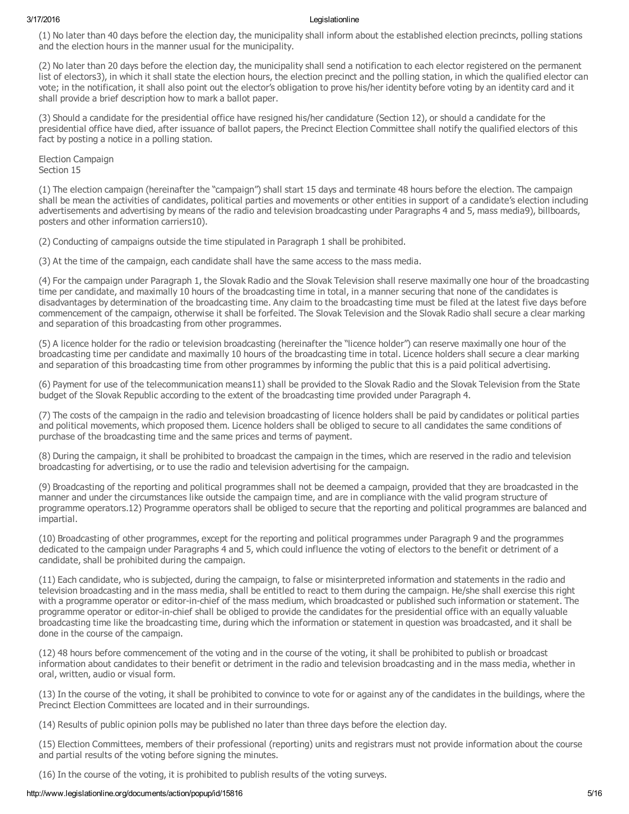(1) No later than 40 days before the election day, the municipality shall inform about the established election precincts, polling stations and the election hours in the manner usual for the municipality.

(2) No later than 20 days before the election day, the municipality shall send a notification to each elector registered on the permanent list of electors3), in which it shall state the election hours, the election precinct and the polling station, in which the qualified elector can vote; in the notification, it shall also point out the elector's obligation to prove his/her identity before voting by an identity card and it shall provide a brief description how to mark a ballot paper.

(3) Should a candidate for the presidential office have resigned his/her candidature (Section 12), or should a candidate for the presidential office have died, after issuance of ballot papers, the Precinct Election Committee shall notify the qualified electors of this fact by posting a notice in a polling station.

Election Campaign Section 15

(1) The election campaign (hereinafter the "campaign") shall start 15 days and terminate 48 hours before the election. The campaign shall be mean the activities of candidates, political parties and movements or other entities in support of a candidate's election including advertisements and advertising by means of the radio and television broadcasting under Paragraphs 4 and 5, mass media9), billboards, posters and other information carriers10).

(2) Conducting of campaigns outside the time stipulated in Paragraph 1 shall be prohibited.

(3) At the time of the campaign, each candidate shall have the same access to the mass media.

(4) For the campaign under Paragraph 1, the Slovak Radio and the Slovak Television shall reserve maximally one hour of the broadcasting time per candidate, and maximally 10 hours of the broadcasting time in total, in a manner securing that none of the candidates is disadvantages by determination of the broadcasting time. Any claim to the broadcasting time must be filed at the latest five days before commencement of the campaign, otherwise it shall be forfeited. The Slovak Television and the Slovak Radio shall secure a clear marking and separation of this broadcasting from other programmes.

(5) A licence holder for the radio or television broadcasting (hereinafter the "licence holder") can reserve maximally one hour of the broadcasting time per candidate and maximally 10 hours of the broadcasting time in total. Licence holders shall secure a clear marking and separation of this broadcasting time from other programmes by informing the public that this is a paid political advertising.

(6) Payment for use of the telecommunication means11) shall be provided to the Slovak Radio and the Slovak Television from the State budget of the Slovak Republic according to the extent of the broadcasting time provided under Paragraph 4.

(7) The costs of the campaign in the radio and television broadcasting of licence holders shall be paid by candidates or political parties and political movements, which proposed them. Licence holders shall be obliged to secure to all candidates the same conditions of purchase of the broadcasting time and the same prices and terms of payment.

(8) During the campaign, it shall be prohibited to broadcast the campaign in the times, which are reserved in the radio and television broadcasting for advertising, or to use the radio and television advertising for the campaign.

(9) Broadcasting of the reporting and political programmes shall not be deemed a campaign, provided that they are broadcasted in the manner and under the circumstances like outside the campaign time, and are in compliance with the valid program structure of programme operators.12) Programme operators shall be obliged to secure that the reporting and political programmes are balanced and impartial.

(10) Broadcasting of other programmes, except for the reporting and political programmes under Paragraph 9 and the programmes dedicated to the campaign under Paragraphs 4 and 5, which could influence the voting of electors to the benefit or detriment of a candidate, shall be prohibited during the campaign.

(11) Each candidate, who is subjected, during the campaign, to false or misinterpreted information and statements in the radio and television broadcasting and in the mass media, shall be entitled to react to them during the campaign. He/she shall exercise this right with a programme operator or editor-in-chief of the mass medium, which broadcasted or published such information or statement. The programme operator or editor-in-chief shall be obliged to provide the candidates for the presidential office with an equally valuable broadcasting time like the broadcasting time, during which the information or statement in question was broadcasted, and it shall be done in the course of the campaign.

(12) 48 hours before commencement of the voting and in the course of the voting, it shall be prohibited to publish or broadcast information about candidates to their benefit or detriment in the radio and television broadcasting and in the mass media, whether in oral, written, audio or visual form.

(13) In the course of the voting, it shall be prohibited to convince to vote for or against any of the candidates in the buildings, where the Precinct Election Committees are located and in their surroundings.

(14) Results of public opinion polls may be published no later than three days before the election day.

(15) Election Committees, members of their professional (reporting) units and registrars must not provide information about the course and partial results of the voting before signing the minutes.

(16) In the course of the voting, it is prohibited to publish results of the voting surveys.

## http://www.legislationline.org/documents/action/popup/id/15816 5/16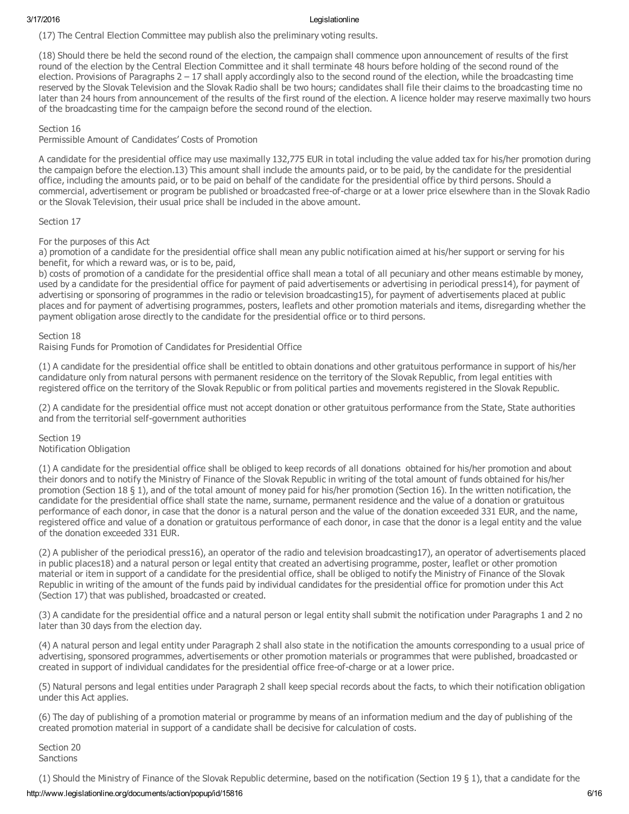(17) The Central Election Committee may publish also the preliminary voting results.

(18) Should there be held the second round of the election, the campaign shall commence upon announcement of results of the first round of the election by the Central Election Committee and it shall terminate 48 hours before holding of the second round of the election. Provisions of Paragraphs 2 – 17 shall apply accordingly also to the second round of the election, while the broadcasting time reserved by the Slovak Television and the Slovak Radio shall be two hours; candidates shall file their claims to the broadcasting time no later than 24 hours from announcement of the results of the first round of the election. A licence holder may reserve maximally two hours of the broadcasting time for the campaign before the second round of the election.

Section 16

Permissible Amount of Candidates' Costs of Promotion

A candidate for the presidential office may use maximally 132,775 EUR in total including the value added tax for his/her promotion during the campaign before the election.13) This amount shall include the amounts paid, or to be paid, by the candidate for the presidential office, including the amounts paid, or to be paid on behalf of the candidate for the presidential office by third persons. Should a commercial, advertisement or program be published or broadcasted free-of-charge or at a lower price elsewhere than in the Slovak Radio or the Slovak Television, their usual price shall be included in the above amount.

Section 17

For the purposes of this Act

a) promotion of a candidate for the presidential office shall mean any public notification aimed at his/her support or serving for his benefit, for which a reward was, or is to be, paid,

b) costs of promotion of a candidate for the presidential office shall mean a total of all pecuniary and other means estimable by money, used by a candidate for the presidential office for payment of paid advertisements or advertising in periodical press14), for payment of advertising or sponsoring of programmes in the radio or television broadcasting15), for payment of advertisements placed at public places and for payment of advertising programmes, posters, leaflets and other promotion materials and items, disregarding whether the payment obligation arose directly to the candidate for the presidential office or to third persons.

Section 18

Raising Funds for Promotion of Candidates for Presidential Office

(1) A candidate for the presidential office shall be entitled to obtain donations and other gratuitous performance in support of his/her candidature only from natural persons with permanent residence on the territory of the Slovak Republic, from legal entities with registered office on the territory of the Slovak Republic or from political parties and movements registered in the Slovak Republic.

(2) A candidate for the presidential office must not accept donation or other gratuitous performance from the State, State authorities and from the territorial self-government authorities

Section 19 Notification Obligation

(1) A candidate for the presidential office shall be obliged to keep records of all donations obtained for his/her promotion and about their donors and to notify the Ministry of Finance of the Slovak Republic in writing of the total amount of funds obtained for his/her promotion (Section 18 § 1), and of the total amount of money paid for his/her promotion (Section 16). In the written notification, the candidate for the presidential office shall state the name, surname, permanent residence and the value of a donation or gratuitous performance of each donor, in case that the donor is a natural person and the value of the donation exceeded 331 EUR, and the name, registered office and value of a donation or gratuitous performance of each donor, in case that the donor is a legal entity and the value of the donation exceeded 331 EUR.

(2) A publisher of the periodical press16), an operator of the radio and television broadcasting17), an operator of advertisements placed in public places18) and a natural person or legal entity that created an advertising programme, poster, leaflet or other promotion material or item in support of a candidate for the presidential office, shall be obliged to notify the Ministry of Finance of the Slovak Republic in writing of the amount of the funds paid by individual candidates for the presidential office for promotion under this Act (Section 17) that was published, broadcasted or created.

(3) A candidate for the presidential office and a natural person or legal entity shall submit the notification under Paragraphs 1 and 2 no later than 30 days from the election day.

(4) A natural person and legal entity under Paragraph 2 shall also state in the notification the amounts corresponding to a usual price of advertising, sponsored programmes, advertisements or other promotion materials or programmes that were published, broadcasted or created in support of individual candidates for the presidential office free-of-charge or at a lower price.

(5) Natural persons and legal entities under Paragraph 2 shall keep special records about the facts, to which their notification obligation under this Act applies.

(6) The day of publishing of a promotion material or programme by means of an information medium and the day of publishing of the created promotion material in support of a candidate shall be decisive for calculation of costs.

Section 20 Sanctions

(1) Should the Ministry of Finance of the Slovak Republic determine, based on the notification (Section 19 § 1), that a candidate for the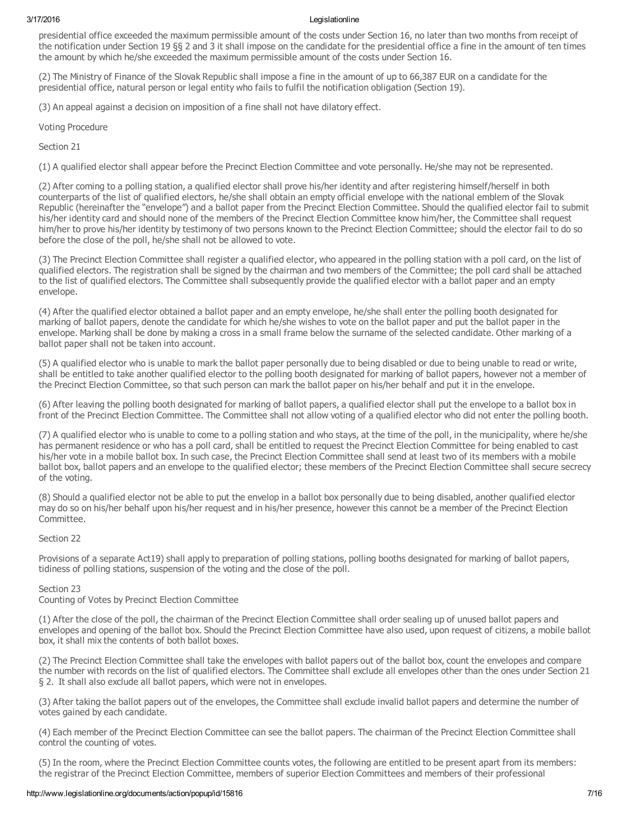presidential office exceeded the maximum permissible amount of the costs under Section 16, no later than two months from receipt of the notification under Section 19 §§ 2 and 3 it shall impose on the candidate for the presidential office a fine in the amount of ten times the amount by which he/she exceeded the maximum permissible amount of the costs under Section 16.

(2) The Ministry of Finance of the Slovak Republic shall impose a fine in the amount of up to 66,387 EUR on a candidate for the presidential office, natural person or legal entity who fails to fulfil the notification obligation (Section 19).

(3) An appeal against a decision on imposition of a fine shall not have dilatory effect.

Voting Procedure

Section 21

(1) A qualified elector shall appear before the Precinct Election Committee and vote personally. He/she may not be represented.

(2) After coming to a polling station, a qualified elector shall prove his/her identity and after registering himself/herself in both counterparts of the list of qualified electors, he/she shall obtain an empty official envelope with the national emblem of the Slovak Republic (hereinafter the "envelope") and a ballot paper from the Precinct Election Committee. Should the qualified elector fail to submit his/her identity card and should none of the members of the Precinct Election Committee know him/her, the Committee shall request him/her to prove his/her identity by testimony of two persons known to the Precinct Election Committee; should the elector fail to do so before the close of the poll, he/she shall not be allowed to vote.

(3) The Precinct Election Committee shall register a qualified elector, who appeared in the polling station with a poll card, on the list of qualified electors. The registration shall be signed by the chairman and two members of the Committee; the poll card shall be attached to the list of qualified electors. The Committee shall subsequently provide the qualified elector with a ballot paper and an empty envelope.

(4) After the qualified elector obtained a ballot paper and an empty envelope, he/she shall enter the polling booth designated for marking of ballot papers, denote the candidate for which he/she wishes to vote on the ballot paper and put the ballot paper in the envelope. Marking shall be done by making a cross in a small frame below the surname of the selected candidate. Other marking of a ballot paper shall not be taken into account.

(5) A qualified elector who is unable to mark the ballot paper personally due to being disabled or due to being unable to read or write, shall be entitled to take another qualified elector to the polling booth designated for marking of ballot papers, however not a member of the Precinct Election Committee, so that such person can mark the ballot paper on his/her behalf and put it in the envelope.

(6) After leaving the polling booth designated for marking of ballot papers, a qualified elector shall put the envelope to a ballot box in front of the Precinct Election Committee. The Committee shall not allow voting of a qualified elector who did not enter the polling booth.

(7) A qualified elector who is unable to come to a polling station and who stays, at the time of the poll, in the municipality, where he/she has permanent residence or who has a poll card, shall be entitled to request the Precinct Election Committee for being enabled to cast his/her vote in a mobile ballot box. In such case, the Precinct Election Committee shall send at least two of its members with a mobile ballot box, ballot papers and an envelope to the qualified elector; these members of the Precinct Election Committee shall secure secrecy of the voting.

(8) Should a qualified elector not be able to put the envelop in a ballot box personally due to being disabled, another qualified elector may do so on his/her behalf upon his/her request and in his/her presence, however this cannot be a member of the Precinct Election Committee.

Section 22

Provisions of a separate Act19) shall apply to preparation of polling stations, polling booths designated for marking of ballot papers, tidiness of polling stations, suspension of the voting and the close of the poll.

Section 23

Counting of Votes by Precinct Election Committee

(1) After the close of the poll, the chairman of the Precinct Election Committee shall order sealing up of unused ballot papers and envelopes and opening of the ballot box. Should the Precinct Election Committee have also used, upon request of citizens, a mobile ballot box, it shall mix the contents of both ballot boxes.

(2) The Precinct Election Committee shall take the envelopes with ballot papers out of the ballot box, count the envelopes and compare the number with records on the list of qualified electors. The Committee shall exclude all envelopes other than the ones under Section 21 § 2. It shall also exclude all ballot papers, which were not in envelopes.

(3) After taking the ballot papers out of the envelopes, the Committee shall exclude invalid ballot papers and determine the number of votes gained by each candidate.

(4) Each member of the Precinct Election Committee can see the ballot papers. The chairman of the Precinct Election Committee shall control the counting of votes.

(5) In the room, where the Precinct Election Committee counts votes, the following are entitled to be present apart from its members: the registrar of the Precinct Election Committee, members of superior Election Committees and members of their professional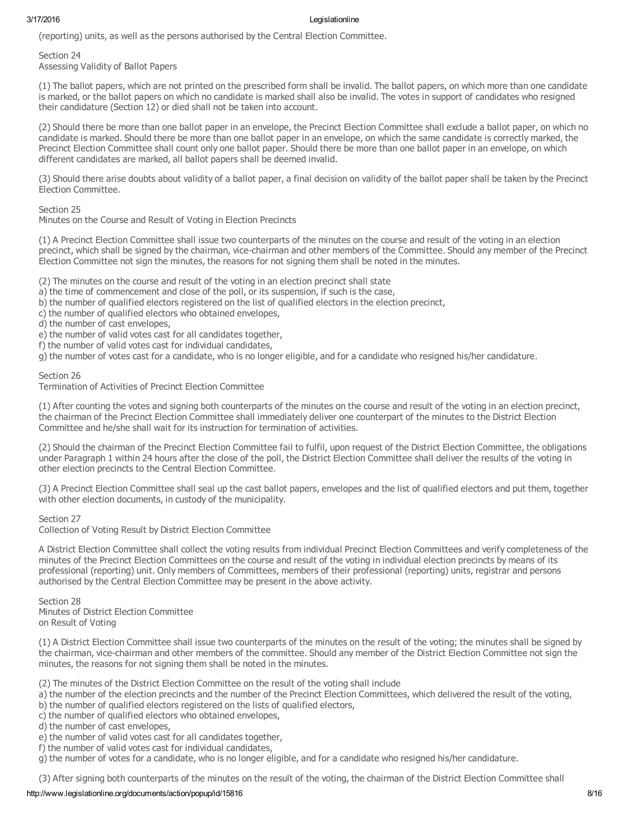(reporting) units, as well as the persons authorised by the Central Election Committee.

Section 24 Assessing Validity of Ballot Papers

(1) The ballot papers, which are not printed on the prescribed form shall be invalid. The ballot papers, on which more than one candidate is marked, or the ballot papers on which no candidate is marked shall also be invalid. The votes in support of candidates who resigned their candidature (Section 12) or died shall not be taken into account.

(2) Should there be more than one ballot paper in an envelope, the Precinct Election Committee shall exclude a ballot paper, on which no candidate is marked. Should there be more than one ballot paper in an envelope, on which the same candidate is correctly marked, the Precinct Election Committee shall count only one ballot paper. Should there be more than one ballot paper in an envelope, on which different candidates are marked, all ballot papers shall be deemed invalid.

(3) Should there arise doubts about validity of a ballot paper, a final decision on validity of the ballot paper shall be taken by the Precinct Election Committee.

Section 25

Minutes on the Course and Result of Voting in Election Precincts

(1) A Precinct Election Committee shall issue two counterparts of the minutes on the course and result of the voting in an election precinct, which shall be signed by the chairman, vice-chairman and other members of the Committee. Should any member of the Precinct Election Committee not sign the minutes, the reasons for not signing them shall be noted in the minutes.

(2) The minutes on the course and result of the voting in an election precinct shall state

a) the time of commencement and close of the poll, or its suspension, if such is the case,

- b) the number of qualified electors registered on the list of qualified electors in the election precinct,
- c) the number of qualified electors who obtained envelopes,

d) the number of cast envelopes,

e) the number of valid votes cast for all candidates together,

f) the number of valid votes cast for individual candidates,

g) the number of votes cast for a candidate, who is no longer eligible, and for a candidate who resigned his/her candidature.

# Section 26

Termination of Activities of Precinct Election Committee

(1) After counting the votes and signing both counterparts of the minutes on the course and result of the voting in an election precinct, the chairman of the Precinct Election Committee shall immediately deliver one counterpart of the minutes to the District Election Committee and he/she shall wait for its instruction for termination of activities.

(2) Should the chairman of the Precinct Election Committee fail to fulfil, upon request of the District Election Committee, the obligations under Paragraph 1 within 24 hours after the close of the poll, the District Election Committee shall deliver the results of the voting in other election precincts to the Central Election Committee.

(3) A Precinct Election Committee shall seal up the cast ballot papers, envelopes and the list of qualified electors and put them, together with other election documents, in custody of the municipality.

# Section 27

Collection of Voting Result by District Election Committee

A District Election Committee shall collect the voting results from individual Precinct Election Committees and verify completeness of the minutes of the Precinct Election Committees on the course and result of the voting in individual election precincts by means of its professional (reporting) unit. Only members of Committees, members of their professional (reporting) units, registrar and persons authorised by the Central Election Committee may be present in the above activity.

Section 28 Minutes of District Election Committee on Result of Voting

(1) A District Election Committee shall issue two counterparts of the minutes on the result of the voting; the minutes shall be signed by the chairman, vice-chairman and other members of the committee. Should any member of the District Election Committee not sign the minutes, the reasons for not signing them shall be noted in the minutes.

(2) The minutes of the District Election Committee on the result of the voting shall include

- a) the number of the election precincts and the number of the Precinct Election Committees, which delivered the result of the voting,
- b) the number of qualified electors registered on the lists of qualified electors,
- c) the number of qualified electors who obtained envelopes,

d) the number of cast envelopes,

- e) the number of valid votes cast for all candidates together,
- f) the number of valid votes cast for individual candidates,

g) the number of votes for a candidate, who is no longer eligible, and for a candidate who resigned his/her candidature.

(3) After signing both counterparts of the minutes on the result of the voting, the chairman of the District Election Committee shall

## http://www.legislationline.org/documents/action/popup/id/15816 8/16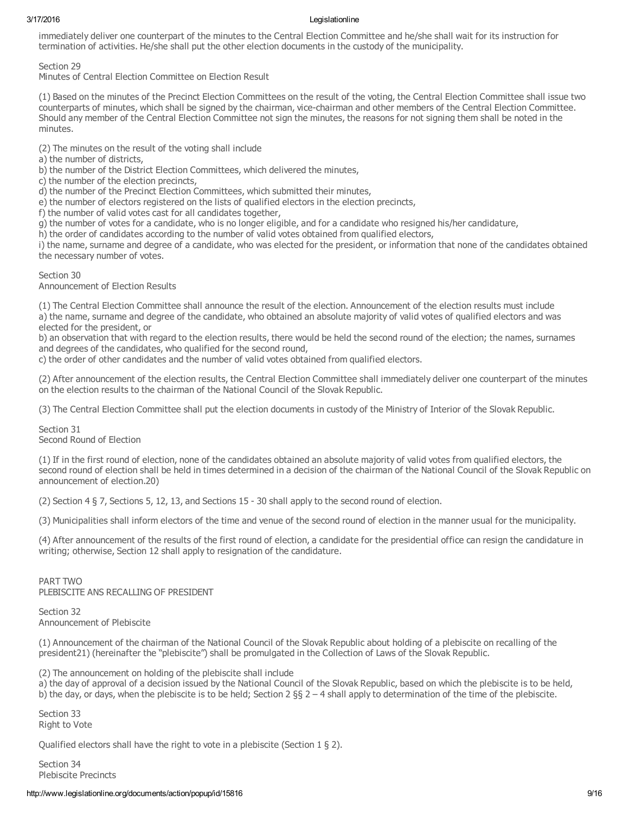immediately deliver one counterpart of the minutes to the Central Election Committee and he/she shall wait for its instruction for termination of activities. He/she shall put the other election documents in the custody of the municipality.

Section 29

Minutes of Central Election Committee on Election Result

(1) Based on the minutes of the Precinct Election Committees on the result of the voting, the Central Election Committee shall issue two counterparts of minutes, which shall be signed by the chairman, vicechairman and other members of the Central Election Committee. Should any member of the Central Election Committee not sign the minutes, the reasons for not signing them shall be noted in the minutes.

(2) The minutes on the result of the voting shall include

a) the number of districts,

b) the number of the District Election Committees, which delivered the minutes,

c) the number of the election precincts,

d) the number of the Precinct Election Committees, which submitted their minutes,

e) the number of electors registered on the lists of qualified electors in the election precincts,

f) the number of valid votes cast for all candidates together,

g) the number of votes for a candidate, who is no longer eligible, and for a candidate who resigned his/her candidature,

h) the order of candidates according to the number of valid votes obtained from qualified electors,

i) the name, surname and degree of a candidate, who was elected for the president, or information that none of the candidates obtained the necessary number of votes.

Section 30

Announcement of Election Results

(1) The Central Election Committee shall announce the result of the election. Announcement of the election results must include a) the name, surname and degree of the candidate, who obtained an absolute majority of valid votes of qualified electors and was elected for the president, or

b) an observation that with regard to the election results, there would be held the second round of the election; the names, surnames and degrees of the candidates, who qualified for the second round,

c) the order of other candidates and the number of valid votes obtained from qualified electors.

(2) After announcement of the election results, the Central Election Committee shall immediately deliver one counterpart of the minutes on the election results to the chairman of the National Council of the Slovak Republic.

(3) The Central Election Committee shall put the election documents in custody of the Ministry of Interior of the Slovak Republic.

Section 31 Second Round of Election

(1) If in the first round of election, none of the candidates obtained an absolute majority of valid votes from qualified electors, the second round of election shall be held in times determined in a decision of the chairman of the National Council of the Slovak Republic on announcement of election.20)

(2) Section 4 § 7, Sections 5, 12, 13, and Sections 15 30 shall apply to the second round of election.

(3) Municipalities shall inform electors of the time and venue of the second round of election in the manner usual for the municipality.

(4) After announcement of the results of the first round of election, a candidate for the presidential office can resign the candidature in writing; otherwise, Section 12 shall apply to resignation of the candidature.

PART TWO PLEBISCITE ANS RECALLING OF PRESIDENT

Section 32 Announcement of Plebiscite

(1) Announcement of the chairman of the National Council of the Slovak Republic about holding of a plebiscite on recalling of the president21) (hereinafter the "plebiscite") shall be promulgated in the Collection of Laws of the Slovak Republic.

(2) The announcement on holding of the plebiscite shall include

a) the day of approval of a decision issued by the National Council of the Slovak Republic, based on which the plebiscite is to be held, b) the day, or days, when the plebiscite is to be held; Section 2  $\S$  2 – 4 shall apply to determination of the time of the plebiscite.

Section 33 Right to Vote

Qualified electors shall have the right to vote in a plebiscite (Section 1 § 2).

Section 34 Plebiscite Precincts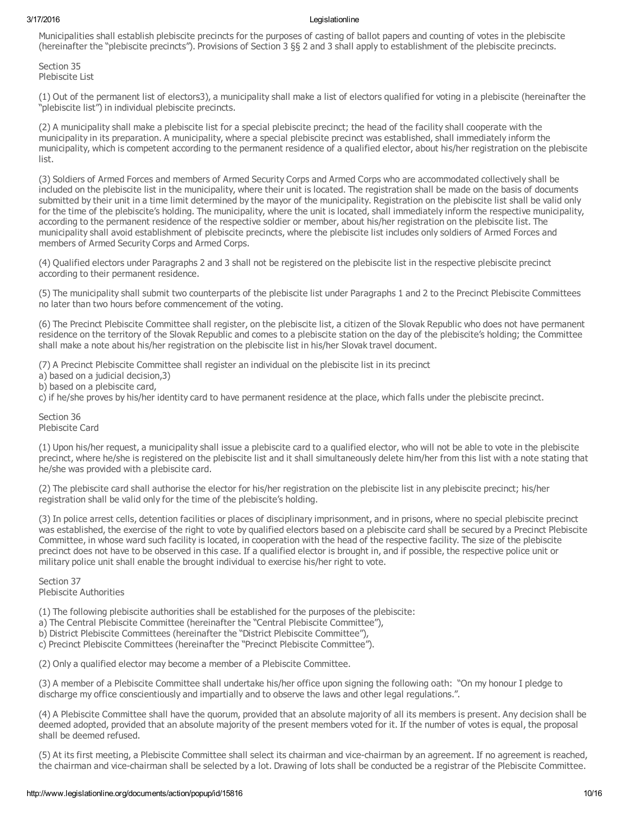Municipalities shall establish plebiscite precincts for the purposes of casting of ballot papers and counting of votes in the plebiscite (hereinafter the "plebiscite precincts"). Provisions of Section 3 §§ 2 and 3 shall apply to establishment of the plebiscite precincts.

Section 35 Plebiscite List

(1) Out of the permanent list of electors3), a municipality shall make a list of electors qualified for voting in a plebiscite (hereinafter the "plebiscite list") in individual plebiscite precincts.

(2) A municipality shall make a plebiscite list for a special plebiscite precinct; the head of the facility shall cooperate with the municipality in its preparation. A municipality, where a special plebiscite precinct was established, shall immediately inform the municipality, which is competent according to the permanent residence of a qualified elector, about his/her registration on the plebiscite list.

(3) Soldiers of Armed Forces and members of Armed Security Corps and Armed Corps who are accommodated collectively shall be included on the plebiscite list in the municipality, where their unit is located. The registration shall be made on the basis of documents submitted by their unit in a time limit determined by the mayor of the municipality. Registration on the plebiscite list shall be valid only for the time of the plebiscite's holding. The municipality, where the unit is located, shall immediately inform the respective municipality, according to the permanent residence of the respective soldier or member, about his/her registration on the plebiscite list. The municipality shall avoid establishment of plebiscite precincts, where the plebiscite list includes only soldiers of Armed Forces and members of Armed Security Corps and Armed Corps.

(4) Qualified electors under Paragraphs 2 and 3 shall not be registered on the plebiscite list in the respective plebiscite precinct according to their permanent residence.

(5) The municipality shall submit two counterparts of the plebiscite list under Paragraphs 1 and 2 to the Precinct Plebiscite Committees no later than two hours before commencement of the voting.

(6) The Precinct Plebiscite Committee shall register, on the plebiscite list, a citizen of the Slovak Republic who does not have permanent residence on the territory of the Slovak Republic and comes to a plebiscite station on the day of the plebiscite's holding; the Committee shall make a note about his/her registration on the plebiscite list in his/her Slovak travel document.

(7) A Precinct Plebiscite Committee shall register an individual on the plebiscite list in its precinct

- a) based on a judicial decision,3)
- b) based on a plebiscite card,

c) if he/she proves by his/her identity card to have permanent residence at the place, which falls under the plebiscite precinct.

Section 36 Plebiscite Card

(1) Upon his/her request, a municipality shall issue a plebiscite card to a qualified elector, who will not be able to vote in the plebiscite precinct, where he/she is registered on the plebiscite list and it shall simultaneously delete him/her from this list with a note stating that he/she was provided with a plebiscite card.

(2) The plebiscite card shall authorise the elector for his/her registration on the plebiscite list in any plebiscite precinct; his/her registration shall be valid only for the time of the plebiscite's holding.

(3) In police arrest cells, detention facilities or places of disciplinary imprisonment, and in prisons, where no special plebiscite precinct was established, the exercise of the right to vote by qualified electors based on a plebiscite card shall be secured by a Precinct Plebiscite Committee, in whose ward such facility is located, in cooperation with the head of the respective facility. The size of the plebiscite precinct does not have to be observed in this case. If a qualified elector is brought in, and if possible, the respective police unit or military police unit shall enable the brought individual to exercise his/her right to vote.

Section 37 Plebiscite Authorities

(1) The following plebiscite authorities shall be established for the purposes of the plebiscite:

a) The Central Plebiscite Committee (hereinafter the "Central Plebiscite Committee"),

b) District Plebiscite Committees (hereinafter the "District Plebiscite Committee"),

c) Precinct Plebiscite Committees (hereinafter the "Precinct Plebiscite Committee").

(2) Only a qualified elector may become a member of a Plebiscite Committee.

(3) A member of a Plebiscite Committee shall undertake his/her office upon signing the following oath: "On my honour I pledge to discharge my office conscientiously and impartially and to observe the laws and other legal regulations.".

(4) A Plebiscite Committee shall have the quorum, provided that an absolute majority of all its members is present. Any decision shall be deemed adopted, provided that an absolute majority of the present members voted for it. If the number of votes is equal, the proposal shall be deemed refused.

(5) At its first meeting, a Plebiscite Committee shall select its chairman and vicechairman by an agreement. If no agreement is reached, the chairman and vice-chairman shall be selected by a lot. Drawing of lots shall be conducted be a registrar of the Plebiscite Committee.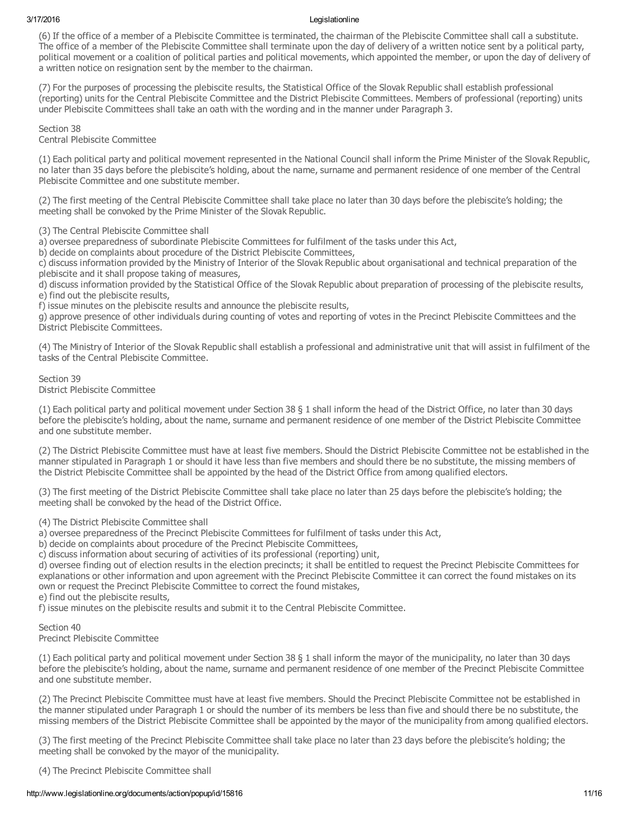(6) If the office of a member of a Plebiscite Committee is terminated, the chairman of the Plebiscite Committee shall call a substitute. The office of a member of the Plebiscite Committee shall terminate upon the day of delivery of a written notice sent by a political party, political movement or a coalition of political parties and political movements, which appointed the member, or upon the day of delivery of a written notice on resignation sent by the member to the chairman.

(7) For the purposes of processing the plebiscite results, the Statistical Office of the Slovak Republic shall establish professional (reporting) units for the Central Plebiscite Committee and the District Plebiscite Committees. Members of professional (reporting) units under Plebiscite Committees shall take an oath with the wording and in the manner under Paragraph 3.

Section 38 Central Plebiscite Committee

(1) Each political party and political movement represented in the National Council shall inform the Prime Minister of the Slovak Republic, no later than 35 days before the plebiscite's holding, about the name, surname and permanent residence of one member of the Central Plebiscite Committee and one substitute member.

(2) The first meeting of the Central Plebiscite Committee shall take place no later than 30 days before the plebiscite's holding; the meeting shall be convoked by the Prime Minister of the Slovak Republic.

(3) The Central Plebiscite Committee shall

a) oversee preparedness of subordinate Plebiscite Committees for fulfilment of the tasks under this Act,

b) decide on complaints about procedure of the District Plebiscite Committees,

c) discuss information provided by the Ministry of Interior of the Slovak Republic about organisational and technical preparation of the plebiscite and it shall propose taking of measures,

d) discuss information provided by the Statistical Office of the Slovak Republic about preparation of processing of the plebiscite results, e) find out the plebiscite results,

f) issue minutes on the plebiscite results and announce the plebiscite results,

g) approve presence of other individuals during counting of votes and reporting of votes in the Precinct Plebiscite Committees and the District Plebiscite Committees.

(4) The Ministry of Interior of the Slovak Republic shall establish a professional and administrative unit that will assist in fulfilment of the tasks of the Central Plebiscite Committee.

Section 39 District Plebiscite Committee

(1) Each political party and political movement under Section 38 § 1 shall inform the head of the District Office, no later than 30 days before the plebiscite's holding, about the name, surname and permanent residence of one member of the District Plebiscite Committee and one substitute member.

(2) The District Plebiscite Committee must have at least five members. Should the District Plebiscite Committee not be established in the manner stipulated in Paragraph 1 or should it have less than five members and should there be no substitute, the missing members of the District Plebiscite Committee shall be appointed by the head of the District Office from among qualified electors.

(3) The first meeting of the District Plebiscite Committee shall take place no later than 25 days before the plebiscite's holding; the meeting shall be convoked by the head of the District Office.

(4) The District Plebiscite Committee shall

a) oversee preparedness of the Precinct Plebiscite Committees for fulfilment of tasks under this Act,

b) decide on complaints about procedure of the Precinct Plebiscite Committees,

c) discuss information about securing of activities of its professional (reporting) unit,

d) oversee finding out of election results in the election precincts; it shall be entitled to request the Precinct Plebiscite Committees for explanations or other information and upon agreement with the Precinct Plebiscite Committee it can correct the found mistakes on its own or request the Precinct Plebiscite Committee to correct the found mistakes,

e) find out the plebiscite results,

f) issue minutes on the plebiscite results and submit it to the Central Plebiscite Committee.

Section 40 Precinct Plebiscite Committee

(1) Each political party and political movement under Section 38 § 1 shall inform the mayor of the municipality, no later than 30 days before the plebiscite's holding, about the name, surname and permanent residence of one member of the Precinct Plebiscite Committee and one substitute member.

(2) The Precinct Plebiscite Committee must have at least five members. Should the Precinct Plebiscite Committee not be established in the manner stipulated under Paragraph 1 or should the number of its members be less than five and should there be no substitute, the missing members of the District Plebiscite Committee shall be appointed by the mayor of the municipality from among qualified electors.

(3) The first meeting of the Precinct Plebiscite Committee shall take place no later than 23 days before the plebiscite's holding; the meeting shall be convoked by the mayor of the municipality.

(4) The Precinct Plebiscite Committee shall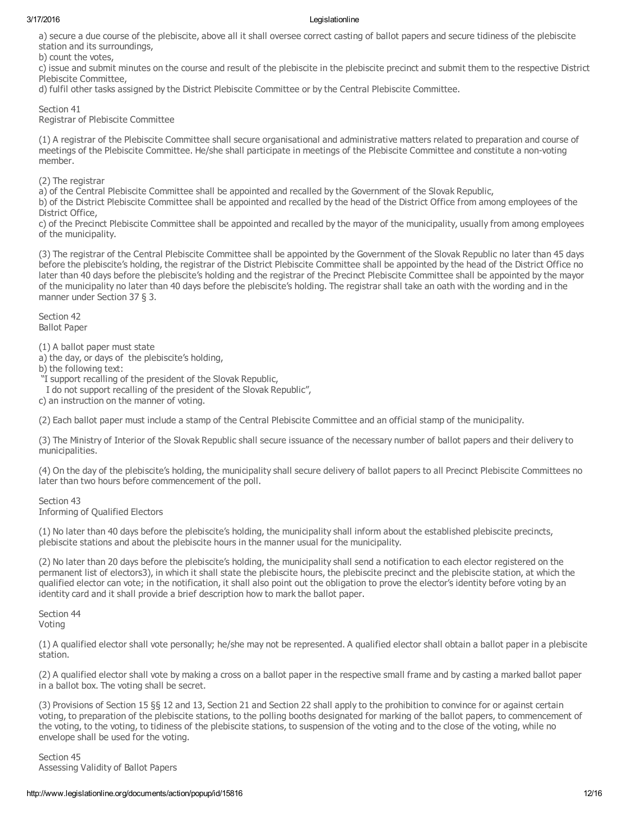a) secure a due course of the plebiscite, above all it shall oversee correct casting of ballot papers and secure tidiness of the plebiscite station and its surroundings,

b) count the votes,

c) issue and submit minutes on the course and result of the plebiscite in the plebiscite precinct and submit them to the respective District Plebiscite Committee,

d) fulfil other tasks assigned by the District Plebiscite Committee or by the Central Plebiscite Committee.

Section 41

Registrar of Plebiscite Committee

(1) A registrar of the Plebiscite Committee shall secure organisational and administrative matters related to preparation and course of meetings of the Plebiscite Committee. He/she shall participate in meetings of the Plebiscite Committee and constitute a nonvoting member.

(2) The registrar

a) of the Central Plebiscite Committee shall be appointed and recalled by the Government of the Slovak Republic,

b) of the District Plebiscite Committee shall be appointed and recalled by the head of the District Office from among employees of the District Office.

c) of the Precinct Plebiscite Committee shall be appointed and recalled by the mayor of the municipality, usually from among employees of the municipality.

(3) The registrar of the Central Plebiscite Committee shall be appointed by the Government of the Slovak Republic no later than 45 days before the plebiscite's holding, the registrar of the District Plebiscite Committee shall be appointed by the head of the District Office no later than 40 days before the plebiscite's holding and the registrar of the Precinct Plebiscite Committee shall be appointed by the mayor of the municipality no later than 40 days before the plebiscite's holding. The registrar shall take an oath with the wording and in the manner under Section 37 § 3.

Section 42 Ballot Paper

(1) A ballot paper must state

a) the day, or days of the plebiscite's holding,

b) the following text:

"I support recalling of the president of the Slovak Republic,

I do not support recalling of the president of the Slovak Republic",

c) an instruction on the manner of voting.

(2) Each ballot paper must include a stamp of the Central Plebiscite Committee and an official stamp of the municipality.

(3) The Ministry of Interior of the Slovak Republic shall secure issuance of the necessary number of ballot papers and their delivery to municipalities.

(4) On the day of the plebiscite's holding, the municipality shall secure delivery of ballot papers to all Precinct Plebiscite Committees no later than two hours before commencement of the poll.

Section 43 Informing of Qualified Electors

(1) No later than 40 days before the plebiscite's holding, the municipality shall inform about the established plebiscite precincts, plebiscite stations and about the plebiscite hours in the manner usual for the municipality.

(2) No later than 20 days before the plebiscite's holding, the municipality shall send a notification to each elector registered on the permanent list of electors3), in which it shall state the plebiscite hours, the plebiscite precinct and the plebiscite station, at which the qualified elector can vote; in the notification, it shall also point out the obligation to prove the elector's identity before voting by an identity card and it shall provide a brief description how to mark the ballot paper.

Section 44 Voting

(1) A qualified elector shall vote personally; he/she may not be represented. A qualified elector shall obtain a ballot paper in a plebiscite station.

(2) A qualified elector shall vote by making a cross on a ballot paper in the respective small frame and by casting a marked ballot paper in a ballot box. The voting shall be secret.

(3) Provisions of Section 15 §§ 12 and 13, Section 21 and Section 22 shall apply to the prohibition to convince for or against certain voting, to preparation of the plebiscite stations, to the polling booths designated for marking of the ballot papers, to commencement of the voting, to the voting, to tidiness of the plebiscite stations, to suspension of the voting and to the close of the voting, while no envelope shall be used for the voting.

Section 45 Assessing Validity of Ballot Papers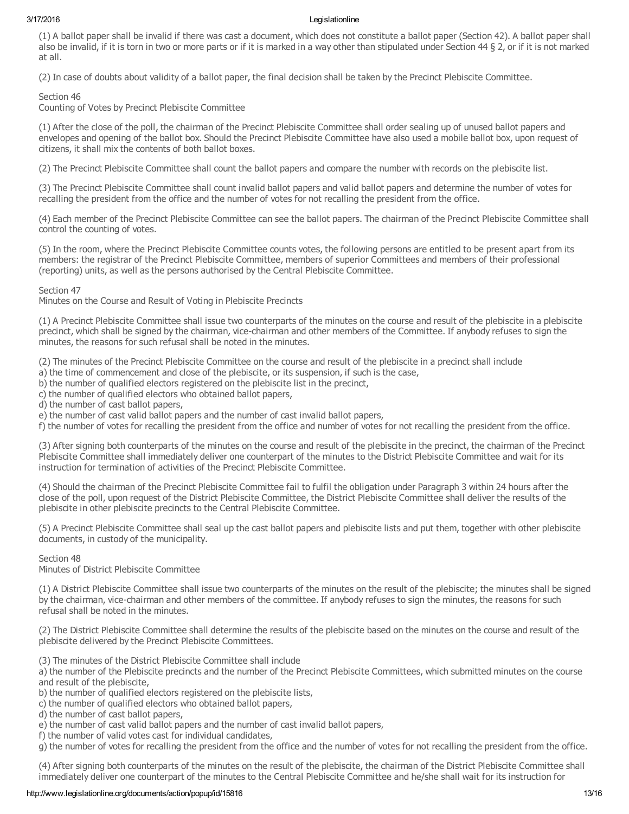(1) A ballot paper shall be invalid if there was cast a document, which does not constitute a ballot paper (Section 42). A ballot paper shall also be invalid, if it is torn in two or more parts or if it is marked in a way other than stipulated under Section 44 § 2, or if it is not marked at all.

(2) In case of doubts about validity of a ballot paper, the final decision shall be taken by the Precinct Plebiscite Committee.

Section 46

Counting of Votes by Precinct Plebiscite Committee

(1) After the close of the poll, the chairman of the Precinct Plebiscite Committee shall order sealing up of unused ballot papers and envelopes and opening of the ballot box. Should the Precinct Plebiscite Committee have also used a mobile ballot box, upon request of citizens, it shall mix the contents of both ballot boxes.

(2) The Precinct Plebiscite Committee shall count the ballot papers and compare the number with records on the plebiscite list.

(3) The Precinct Plebiscite Committee shall count invalid ballot papers and valid ballot papers and determine the number of votes for recalling the president from the office and the number of votes for not recalling the president from the office.

(4) Each member of the Precinct Plebiscite Committee can see the ballot papers. The chairman of the Precinct Plebiscite Committee shall control the counting of votes.

(5) In the room, where the Precinct Plebiscite Committee counts votes, the following persons are entitled to be present apart from its members: the registrar of the Precinct Plebiscite Committee, members of superior Committees and members of their professional (reporting) units, as well as the persons authorised by the Central Plebiscite Committee.

Section 47

Minutes on the Course and Result of Voting in Plebiscite Precincts

(1) A Precinct Plebiscite Committee shall issue two counterparts of the minutes on the course and result of the plebiscite in a plebiscite precinct, which shall be signed by the chairman, vice-chairman and other members of the Committee. If anybody refuses to sign the minutes, the reasons for such refusal shall be noted in the minutes.

(2) The minutes of the Precinct Plebiscite Committee on the course and result of the plebiscite in a precinct shall include

a) the time of commencement and close of the plebiscite, or its suspension, if such is the case,

b) the number of qualified electors registered on the plebiscite list in the precinct,

c) the number of qualified electors who obtained ballot papers,

d) the number of cast ballot papers,

e) the number of cast valid ballot papers and the number of cast invalid ballot papers,

f) the number of votes for recalling the president from the office and number of votes for not recalling the president from the office.

(3) After signing both counterparts of the minutes on the course and result of the plebiscite in the precinct, the chairman of the Precinct Plebiscite Committee shall immediately deliver one counterpart of the minutes to the District Plebiscite Committee and wait for its instruction for termination of activities of the Precinct Plebiscite Committee.

(4) Should the chairman of the Precinct Plebiscite Committee fail to fulfil the obligation under Paragraph 3 within 24 hours after the close of the poll, upon request of the District Plebiscite Committee, the District Plebiscite Committee shall deliver the results of the plebiscite in other plebiscite precincts to the Central Plebiscite Committee.

(5) A Precinct Plebiscite Committee shall seal up the cast ballot papers and plebiscite lists and put them, together with other plebiscite documents, in custody of the municipality.

# Section 48

Minutes of District Plebiscite Committee

(1) A District Plebiscite Committee shall issue two counterparts of the minutes on the result of the plebiscite; the minutes shall be signed by the chairman, vice-chairman and other members of the committee. If anybody refuses to sign the minutes, the reasons for such refusal shall be noted in the minutes.

(2) The District Plebiscite Committee shall determine the results of the plebiscite based on the minutes on the course and result of the plebiscite delivered by the Precinct Plebiscite Committees.

(3) The minutes of the District Plebiscite Committee shall include

a) the number of the Plebiscite precincts and the number of the Precinct Plebiscite Committees, which submitted minutes on the course and result of the plebiscite,

b) the number of qualified electors registered on the plebiscite lists,

c) the number of qualified electors who obtained ballot papers,

d) the number of cast ballot papers,

e) the number of cast valid ballot papers and the number of cast invalid ballot papers,

f) the number of valid votes cast for individual candidates,

g) the number of votes for recalling the president from the office and the number of votes for not recalling the president from the office.

(4) After signing both counterparts of the minutes on the result of the plebiscite, the chairman of the District Plebiscite Committee shall immediately deliver one counterpart of the minutes to the Central Plebiscite Committee and he/she shall wait for its instruction for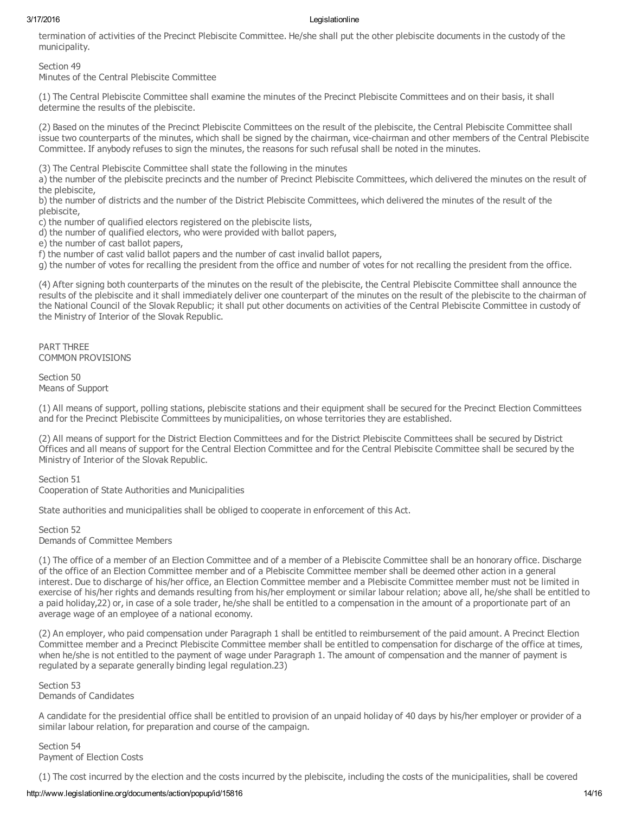termination of activities of the Precinct Plebiscite Committee. He/she shall put the other plebiscite documents in the custody of the municipality.

# Section 49

Minutes of the Central Plebiscite Committee

(1) The Central Plebiscite Committee shall examine the minutes of the Precinct Plebiscite Committees and on their basis, it shall determine the results of the plebiscite.

(2) Based on the minutes of the Precinct Plebiscite Committees on the result of the plebiscite, the Central Plebiscite Committee shall issue two counterparts of the minutes, which shall be signed by the chairman, vice-chairman and other members of the Central Plebiscite Committee. If anybody refuses to sign the minutes, the reasons for such refusal shall be noted in the minutes.

(3) The Central Plebiscite Committee shall state the following in the minutes

a) the number of the plebiscite precincts and the number of Precinct Plebiscite Committees, which delivered the minutes on the result of the plebiscite,

b) the number of districts and the number of the District Plebiscite Committees, which delivered the minutes of the result of the plebiscite,

c) the number of qualified electors registered on the plebiscite lists,

d) the number of qualified electors, who were provided with ballot papers,

e) the number of cast ballot papers,

f) the number of cast valid ballot papers and the number of cast invalid ballot papers,

g) the number of votes for recalling the president from the office and number of votes for not recalling the president from the office.

(4) After signing both counterparts of the minutes on the result of the plebiscite, the Central Plebiscite Committee shall announce the results of the plebiscite and it shall immediately deliver one counterpart of the minutes on the result of the plebiscite to the chairman of the National Council of the Slovak Republic; it shall put other documents on activities of the Central Plebiscite Committee in custody of the Ministry of Interior of the Slovak Republic.

PART THREE COMMON PROVISIONS

Section 50 Means of Support

(1) All means of support, polling stations, plebiscite stations and their equipment shall be secured for the Precinct Election Committees and for the Precinct Plebiscite Committees by municipalities, on whose territories they are established.

(2) All means of support for the District Election Committees and for the District Plebiscite Committees shall be secured by District Offices and all means of support for the Central Election Committee and for the Central Plebiscite Committee shall be secured by the Ministry of Interior of the Slovak Republic.

Section 51 Cooperation of State Authorities and Municipalities

State authorities and municipalities shall be obliged to cooperate in enforcement of this Act.

Section 52 Demands of Committee Members

(1) The office of a member of an Election Committee and of a member of a Plebiscite Committee shall be an honorary office. Discharge of the office of an Election Committee member and of a Plebiscite Committee member shall be deemed other action in a general interest. Due to discharge of his/her office, an Election Committee member and a Plebiscite Committee member must not be limited in exercise of his/her rights and demands resulting from his/her employment or similar labour relation; above all, he/she shall be entitled to a paid holiday,22) or, in case of a sole trader, he/she shall be entitled to a compensation in the amount of a proportionate part of an average wage of an employee of a national economy.

(2) An employer, who paid compensation under Paragraph 1 shall be entitled to reimbursement of the paid amount. A Precinct Election Committee member and a Precinct Plebiscite Committee member shall be entitled to compensation for discharge of the office at times, when he/she is not entitled to the payment of wage under Paragraph 1. The amount of compensation and the manner of payment is regulated by a separate generally binding legal regulation.23)

Section 53 Demands of Candidates

A candidate for the presidential office shall be entitled to provision of an unpaid holiday of 40 days by his/her employer or provider of a similar labour relation, for preparation and course of the campaign.

Section 54 Payment of Election Costs

(1) The cost incurred by the election and the costs incurred by the plebiscite, including the costs of the municipalities, shall be covered